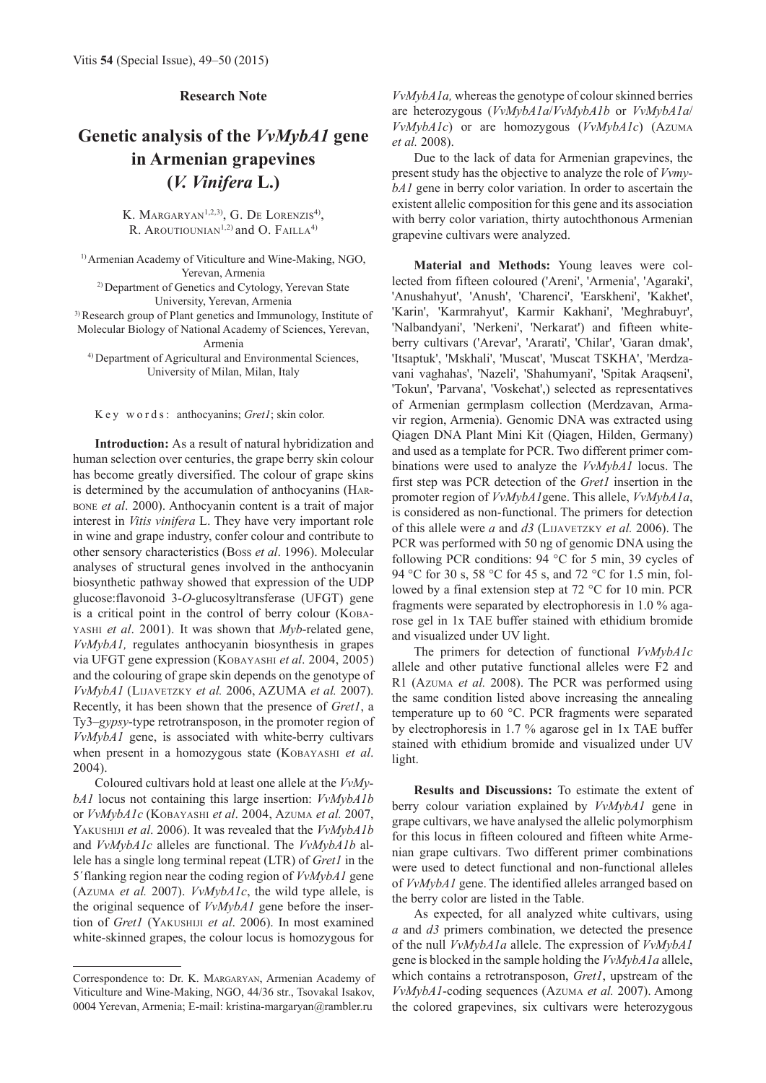## **Research Note**

## **Genetic analysis of the** *VvMybA1* **gene in Armenian grapevines (***V. Vinifera* **L.)**

K. MARGARYAN<sup>1,2,3)</sup>, G. DE LORENZIS<sup>4)</sup>, R. AROUTIOUNIAN<sup>1,2)</sup> and O. FAILLA<sup>4)</sup>

1) Armenian Academy of Viticulture and Wine-Making, NGO, Yerevan, Armenia 2) Department of Genetics and Cytology, Yerevan State University, Yerevan, Armenia

3) Research group of Plant genetics and Immunology, Institute of Molecular Biology of National Academy of Sciences, Yerevan,

Armenia

4) Department of Agricultural and Environmental Sciences, University of Milan, Milan, Italy

K e y w o r d s : anthocyanins; *Gret1*; skin color.

**Introduction:** As a result of natural hybridization and human selection over centuries, the grape berry skin colour has become greatly diversified. The colour of grape skins is determined by the accumulation of anthocyanins (HAR-BONE *et al*. 2000). Anthocyanin content is a trait of major interest in *Vitis vinifera* L. They have very important role in wine and grape industry, confer colour and contribute to other sensory characteristics (BOSS *et al*. 1996). Molecular analyses of structural genes involved in the anthocyanin biosynthetic pathway showed that expression of the UDP glucose:flavonoid 3-*O*-glucosyltransferase (UFGT) gene is a critical point in the control of berry colour (KOBA-YASHI *et al*. 2001). It was shown that *Myb*-related gene, *VvMybA1,* regulates anthocyanin biosynthesis in grapes via UFGT gene expression (KOBAYASHI *et al*. 2004, 2005) and the colouring of grape skin depends on the genotype of *VvMybA1* (LIJAVETZKY *et al.* 2006, AZUMA *et al.* 2007). Recently, it has been shown that the presence of *Gret1*, a Ty3–*gypsy*-type retrotransposon, in the promoter region of *VvMybA1* gene, is associated with white-berry cultivars when present in a homozygous state (KOBAYASHI *et al*. 2004).

Coloured cultivars hold at least one allele at the *VvMybA1* locus not containing this large insertion: *VvMybA1b*  or *VvMybA1c* (KOBAYASHI *et al*. 2004, AZUMA *et al.* 2007, YAKUSHIJI *et al*. 2006). It was revealed that the *VvMybA1b*  and *VvMybA1c* alleles are functional. The *VvMybA1b* allele has a single long terminal repeat (LTR) of *Gret1* in the 5´flanking region near the coding region of *VvMybA1* gene (AZUMA *et al.* 2007). *VvMybA1c*, the wild type allele, is the original sequence of *VvMybA1* gene before the insertion of *Gret1* (YAKUSHIJI *et al*. 2006). In most examined white-skinned grapes, the colour locus is homozygous for *VvMybA1a,* whereas the genotype of colour skinned berries are heterozygous (*VvMybA1a*/*VvMybA1b* or *VvMybA1a*/ *VvMybA1c*) or are homozygous (*VvMybA1c*) (AZUMA *et al.* 2008).

Due to the lack of data for Armenian grapevines, the present study has the objective to analyze the role of *VvmybA1* gene in berry color variation. In order to ascertain the existent allelic composition for this gene and its association with berry color variation, thirty autochthonous Armenian grapevine cultivars were analyzed.

**Material and Methods:** Young leaves were collected from fifteen coloured ('Areni', 'Armenia', 'Agaraki', 'Anushahyut', 'Anush', 'Charenci', 'Earskheni', 'Kakhet', 'Karin', 'Karmrahyut', Karmir Kakhani', 'Meghrabuyr', 'Nalbandyani', 'Nerkeni', 'Nerkarat') and fifteen whiteberry cultivars ('Arevar', 'Ararati', 'Chilar', 'Garan dmak', 'Itsaptuk', 'Mskhali', 'Muscat', 'Muscat TSKHA', 'Merdzavani vaghahas', 'Nazeli', 'Shahumyani', 'Spitak Araqseni', 'Tokun', 'Parvana', 'Voskehat',) selected as representatives of Armenian germplasm collection (Merdzavan, Armavir region, Armenia). Genomic DNA was extracted using Qiagen DNA Plant Mini Kit (Qiagen, Hilden, Germany) and used as a template for PCR. Two different primer combinations were used to analyze the *VvMybA1* locus. The first step was PCR detection of the *Gret1* insertion in the promoter region of *VvMybA1*gene. This allele, *VvMybA1a*, is considered as non-functional. The primers for detection of this allele were *a* and *d3* (LIJAVETZKY *et al.* 2006). The PCR was performed with 50 ng of genomic DNA using the following PCR conditions: 94 °C for 5 min, 39 cycles of 94 °C for 30 s, 58 °C for 45 s, and 72 °C for 1.5 min, followed by a final extension step at 72 °C for 10 min. PCR fragments were separated by electrophoresis in 1.0 % agarose gel in 1x TAE buffer stained with ethidium bromide and visualized under UV light.

The primers for detection of functional *VvMybA1c*  allele and other putative functional alleles were F2 and R1 (AZUMA *et al.* 2008). The PCR was performed using the same condition listed above increasing the annealing temperature up to 60 °C. PCR fragments were separated by electrophoresis in 1.7 % agarose gel in 1x TAE buffer stained with ethidium bromide and visualized under UV light.

**Results and Discussions:** To estimate the extent of berry colour variation explained by *VvMybA1* gene in grape cultivars, we have analysed the allelic polymorphism for this locus in fifteen coloured and fifteen white Armenian grape cultivars. Two different primer combinations were used to detect functional and non-functional alleles of *VvMybA1* gene. The identified alleles arranged based on the berry color are listed in the Table.

As expected, for all analyzed white cultivars, using *a* and *d3* primers combination, we detected the presence of the null *VvMybA1a* allele. The expression of *VvMybA1* gene is blocked in the sample holding the *VvMybA1a* allele, which contains a retrotransposon, *Gret1*, upstream of the *VvMybA1*-coding sequences (AZUMA *et al.* 2007). Among the colored grapevines, six cultivars were heterozygous

Correspondence to: Dr. K. MARGARYAN, Armenian Academy of Viticulture and Wine-Making, NGO, 44/36 str., Tsovakal Isakov, 0004 Yerevan, Armenia; E-mail: kristina-margaryan@rambler.ru